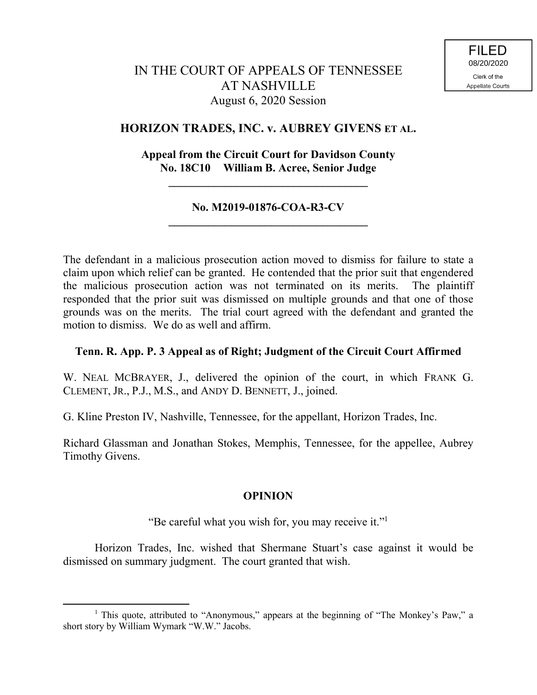# **HORIZON TRADES, INC. v. AUBREY GIVENS ET AL.**

# **Appeal from the Circuit Court for Davidson County No. 18C10 William B. Acree, Senior Judge**

**\_\_\_\_\_\_\_\_\_\_\_\_\_\_\_\_\_\_\_\_\_\_\_\_\_\_\_\_\_\_\_\_\_\_\_**

### **No. M2019-01876-COA-R3-CV \_\_\_\_\_\_\_\_\_\_\_\_\_\_\_\_\_\_\_\_\_\_\_\_\_\_\_\_\_\_\_\_\_\_\_**

The defendant in a malicious prosecution action moved to dismiss for failure to state a claim upon which relief can be granted. He contended that the prior suit that engendered the malicious prosecution action was not terminated on its merits. The plaintiff responded that the prior suit was dismissed on multiple grounds and that one of those grounds was on the merits. The trial court agreed with the defendant and granted the motion to dismiss. We do as well and affirm.

### **Tenn. R. App. P. 3 Appeal as of Right; Judgment of the Circuit Court Affirmed**

W. NEAL MCBRAYER, J., delivered the opinion of the court, in which FRANK G. CLEMENT, JR., P.J., M.S., and ANDY D. BENNETT, J., joined.

G. Kline Preston IV, Nashville, Tennessee, for the appellant, Horizon Trades, Inc.

Richard Glassman and Jonathan Stokes, Memphis, Tennessee, for the appellee, Aubrey Timothy Givens.

# **OPINION**

"Be careful what you wish for, you may receive it."<sup>1</sup>

Horizon Trades, Inc. wished that Shermane Stuart's case against it would be dismissed on summary judgment. The court granted that wish.

 $\overline{a}$ 

<sup>&</sup>lt;sup>1</sup> This quote, attributed to "Anonymous," appears at the beginning of "The Monkey's Paw," a short story by William Wymark "W.W." Jacobs.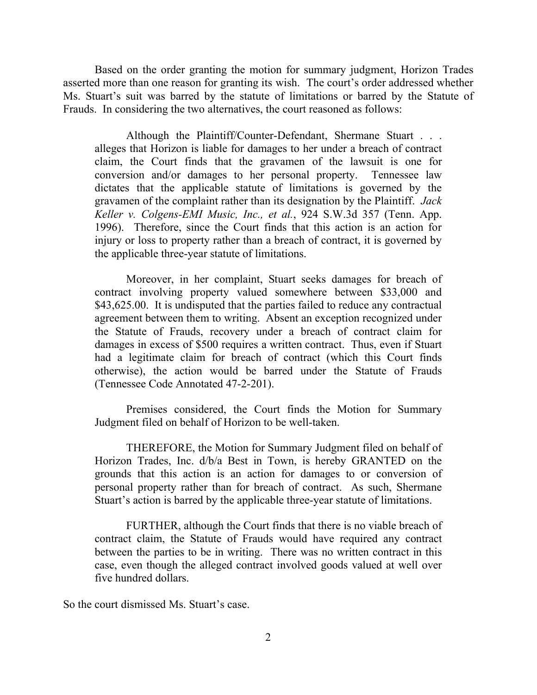Based on the order granting the motion for summary judgment, Horizon Trades asserted more than one reason for granting its wish. The court's order addressed whether Ms. Stuart's suit was barred by the statute of limitations or barred by the Statute of Frauds. In considering the two alternatives, the court reasoned as follows:

Although the Plaintiff/Counter-Defendant, Shermane Stuart . . . alleges that Horizon is liable for damages to her under a breach of contract claim, the Court finds that the gravamen of the lawsuit is one for conversion and/or damages to her personal property. Tennessee law dictates that the applicable statute of limitations is governed by the gravamen of the complaint rather than its designation by the Plaintiff. *Jack Keller v. Colgens-EMI Music, Inc., et al.*, 924 S.W.3d 357 (Tenn. App. 1996). Therefore, since the Court finds that this action is an action for injury or loss to property rather than a breach of contract, it is governed by the applicable three-year statute of limitations.

Moreover, in her complaint, Stuart seeks damages for breach of contract involving property valued somewhere between \$33,000 and \$43,625.00. It is undisputed that the parties failed to reduce any contractual agreement between them to writing. Absent an exception recognized under the Statute of Frauds, recovery under a breach of contract claim for damages in excess of \$500 requires a written contract. Thus, even if Stuart had a legitimate claim for breach of contract (which this Court finds otherwise), the action would be barred under the Statute of Frauds (Tennessee Code Annotated 47-2-201).

Premises considered, the Court finds the Motion for Summary Judgment filed on behalf of Horizon to be well-taken.

THEREFORE, the Motion for Summary Judgment filed on behalf of Horizon Trades, Inc. d/b/a Best in Town, is hereby GRANTED on the grounds that this action is an action for damages to or conversion of personal property rather than for breach of contract. As such, Shermane Stuart's action is barred by the applicable three-year statute of limitations.

FURTHER, although the Court finds that there is no viable breach of contract claim, the Statute of Frauds would have required any contract between the parties to be in writing. There was no written contract in this case, even though the alleged contract involved goods valued at well over five hundred dollars.

So the court dismissed Ms. Stuart's case.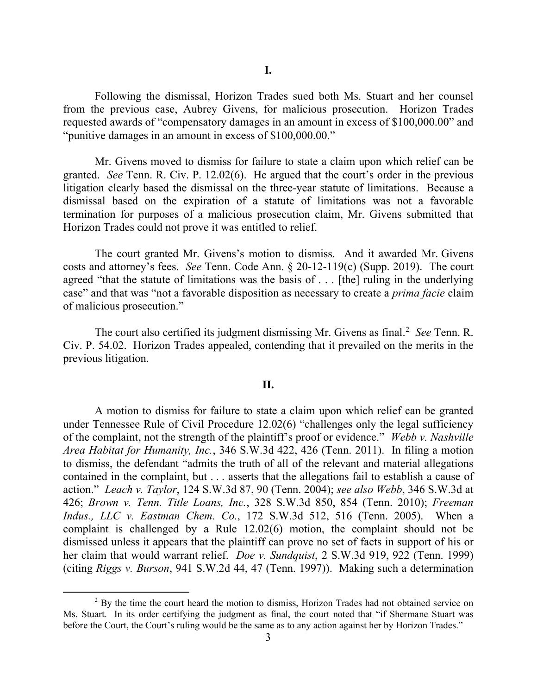Following the dismissal, Horizon Trades sued both Ms. Stuart and her counsel from the previous case, Aubrey Givens, for malicious prosecution. Horizon Trades requested awards of "compensatory damages in an amount in excess of \$100,000.00" and "punitive damages in an amount in excess of \$100,000.00."

Mr. Givens moved to dismiss for failure to state a claim upon which relief can be granted. *See* Tenn. R. Civ. P. 12.02(6). He argued that the court's order in the previous litigation clearly based the dismissal on the three-year statute of limitations. Because a dismissal based on the expiration of a statute of limitations was not a favorable termination for purposes of a malicious prosecution claim, Mr. Givens submitted that Horizon Trades could not prove it was entitled to relief.

The court granted Mr. Givens's motion to dismiss. And it awarded Mr. Givens costs and attorney's fees. *See* Tenn. Code Ann. § 20-12-119(c) (Supp. 2019). The court agreed "that the statute of limitations was the basis of . . . [the] ruling in the underlying case" and that was "not a favorable disposition as necessary to create a *prima facie* claim of malicious prosecution."

The court also certified its judgment dismissing Mr. Givens as final.<sup>2</sup> See Tenn. R. Civ. P. 54.02. Horizon Trades appealed, contending that it prevailed on the merits in the previous litigation.

#### **II.**

A motion to dismiss for failure to state a claim upon which relief can be granted under Tennessee Rule of Civil Procedure 12.02(6) "challenges only the legal sufficiency of the complaint, not the strength of the plaintiff's proof or evidence." *Webb v. Nashville Area Habitat for Humanity, Inc.*, 346 S.W.3d 422, 426 (Tenn. 2011). In filing a motion to dismiss, the defendant "admits the truth of all of the relevant and material allegations contained in the complaint, but . . . asserts that the allegations fail to establish a cause of action." *Leach v. Taylor*, 124 S.W.3d 87, 90 (Tenn. 2004); *see also Webb*, 346 S.W.3d at 426; *Brown v. Tenn. Title Loans, Inc.*, 328 S.W.3d 850, 854 (Tenn. 2010); *Freeman Indus., LLC v. Eastman Chem. Co.*, 172 S.W.3d 512, 516 (Tenn. 2005). When a complaint is challenged by a Rule 12.02(6) motion, the complaint should not be dismissed unless it appears that the plaintiff can prove no set of facts in support of his or her claim that would warrant relief. *Doe v. Sundquist*, 2 S.W.3d 919, 922 (Tenn. 1999) (citing *Riggs v. Burson*, 941 S.W.2d 44, 47 (Tenn. 1997)). Making such a determination

 $2$  By the time the court heard the motion to dismiss, Horizon Trades had not obtained service on Ms. Stuart. In its order certifying the judgment as final, the court noted that "if Shermane Stuart was before the Court, the Court's ruling would be the same as to any action against her by Horizon Trades."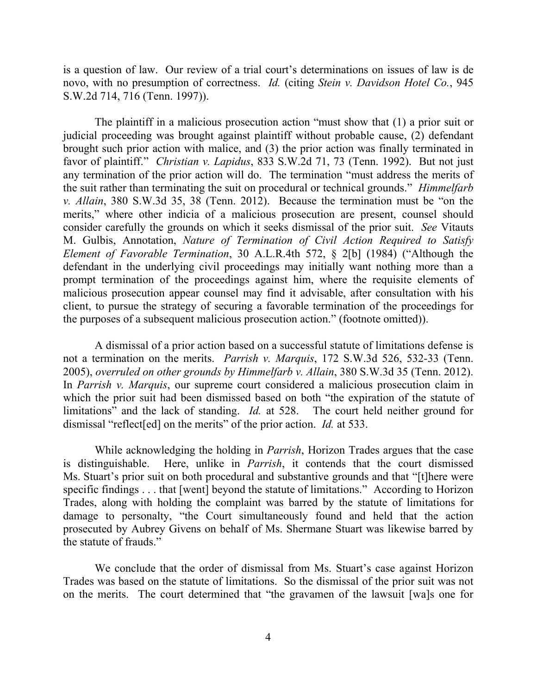is a question of law. Our review of a trial court's determinations on issues of law is de novo, with no presumption of correctness. *Id.* (citing *Stein v. Davidson Hotel Co.*, 945 S.W.2d 714, 716 (Tenn. 1997)).

The plaintiff in a malicious prosecution action "must show that (1) a prior suit or judicial proceeding was brought against plaintiff without probable cause, (2) defendant brought such prior action with malice, and (3) the prior action was finally terminated in favor of plaintiff." *Christian v. Lapidus*, 833 S.W.2d 71, 73 (Tenn. 1992). But not just any termination of the prior action will do. The termination "must address the merits of the suit rather than terminating the suit on procedural or technical grounds." *Himmelfarb v. Allain*, 380 S.W.3d 35, 38 (Tenn. 2012). Because the termination must be "on the merits," where other indicia of a malicious prosecution are present, counsel should consider carefully the grounds on which it seeks dismissal of the prior suit. *See* Vitauts M. Gulbis, Annotation, *Nature of Termination of Civil Action Required to Satisfy Element of Favorable Termination*, 30 A.L.R.4th 572, § 2[b] (1984) ("Although the defendant in the underlying civil proceedings may initially want nothing more than a prompt termination of the proceedings against him, where the requisite elements of malicious prosecution appear counsel may find it advisable, after consultation with his client, to pursue the strategy of securing a favorable termination of the proceedings for the purposes of a subsequent malicious prosecution action." (footnote omitted)).

A dismissal of a prior action based on a successful statute of limitations defense is not a termination on the merits. *Parrish v. Marquis*, 172 S.W.3d 526, 532-33 (Tenn. 2005), *overruled on other grounds by Himmelfarb v. Allain*, 380 S.W.3d 35 (Tenn. 2012). In *Parrish v. Marquis*, our supreme court considered a malicious prosecution claim in which the prior suit had been dismissed based on both "the expiration of the statute of limitations" and the lack of standing. *Id.* at 528. The court held neither ground for dismissal "reflect[ed] on the merits" of the prior action. *Id.* at 533.

While acknowledging the holding in *Parrish*, Horizon Trades argues that the case is distinguishable. Here, unlike in *Parrish*, it contends that the court dismissed Ms. Stuart's prior suit on both procedural and substantive grounds and that "[t]here were specific findings . . . that [went] beyond the statute of limitations." According to Horizon Trades, along with holding the complaint was barred by the statute of limitations for damage to personalty, "the Court simultaneously found and held that the action prosecuted by Aubrey Givens on behalf of Ms. Shermane Stuart was likewise barred by the statute of frauds."

We conclude that the order of dismissal from Ms. Stuart's case against Horizon Trades was based on the statute of limitations. So the dismissal of the prior suit was not on the merits. The court determined that "the gravamen of the lawsuit [wa]s one for